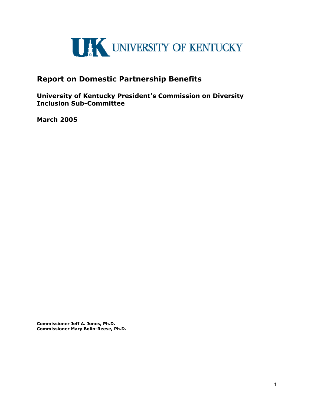

# **Report on Domestic Partnership Benefits**

**University of Kentucky President's Commission on Diversity Inclusion Sub-Committee** 

**March 2005**

**Commissioner Jeff A. Jones, Ph.D. Commissioner Mary Bolin-Reese, Ph.D.**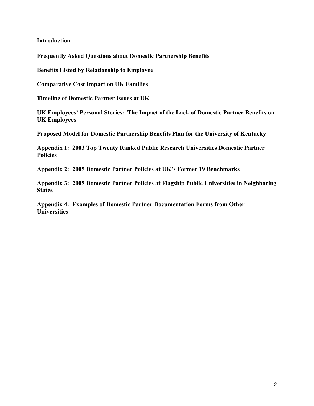**Introduction**

**Frequently Asked Questions about Domestic Partnership Benefits** 

**Benefits Listed by Relationship to Employee** 

**Comparative Cost Impact on UK Families** 

**Timeline of Domestic Partner Issues at UK** 

**UK Employees' Personal Stories: The Impact of the Lack of Domestic Partner Benefits on UK Employees** 

**Proposed Model for Domestic Partnership Benefits Plan for the University of Kentucky** 

**Appendix 1: 2003 Top Twenty Ranked Public Research Universities Domestic Partner Policies** 

**Appendix 2: 2005 Domestic Partner Policies at UK's Former 19 Benchmarks** 

**Appendix 3: 2005 Domestic Partner Policies at Flagship Public Universities in Neighboring States** 

**Appendix 4: Examples of Domestic Partner Documentation Forms from Other Universities**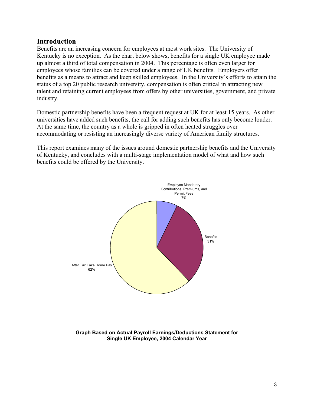## **Introduction**

Benefits are an increasing concern for employees at most work sites. The University of Kentucky is no exception. As the chart below shows, benefits for a single UK employee made up almost a third of total compensation in 2004. This percentage is often even larger for employees whose families can be covered under a range of UK benefits. Employers offer benefits as a means to attract and keep skilled employees. In the University's efforts to attain the status of a top 20 public research university, compensation is often critical in attracting new talent and retaining current employees from offers by other universities, government, and private industry.

Domestic partnership benefits have been a frequent request at UK for at least 15 years. As other universities have added such benefits, the call for adding such benefits has only become louder. At the same time, the country as a whole is gripped in often heated struggles over accommodating or resisting an increasingly diverse variety of American family structures.

This report examines many of the issues around domestic partnership benefits and the University of Kentucky, and concludes with a multi-stage implementation model of what and how such benefits could be offered by the University.



**Graph Based on Actual Payroll Earnings/Deductions Statement for Single UK Employee, 2004 Calendar Year**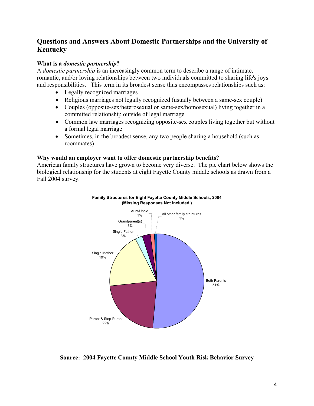# **Questions and Answers About Domestic Partnerships and the University of Kentucky**

## **What is a** *domestic partnership***?**

A *domestic partnership* is an increasingly common term to describe a range of intimate, romantic, and/or loving relationships between two individuals committed to sharing life's joys and responsibilities. This term in its broadest sense thus encompasses relationships such as:

- Legally recognized marriages
- Religious marriages not legally recognized (usually between a same-sex couple)
- Couples (opposite-sex/heterosexual or same-sex/homosexual) living together in a committed relationship outside of legal marriage
- Common law marriages recognizing opposite-sex couples living together but without a formal legal marriage
- Sometimes, in the broadest sense, any two people sharing a household (such as roommates)

## **Why would an employer want to offer domestic partnership benefits?**

American family structures have grown to become very diverse. The pie chart below shows the biological relationship for the students at eight Fayette County middle schools as drawn from a Fall 2004 survey.





## **Source: 2004 Fayette County Middle School Youth Risk Behavior Survey**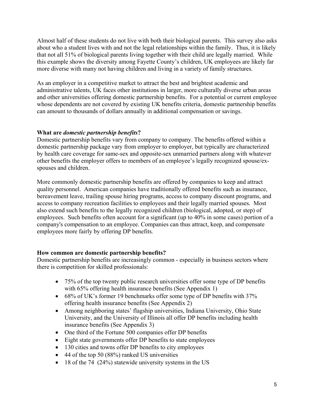Almost half of these students do not live with both their biological parents. This survey also asks about who a student lives with and not the legal relationships within the family. Thus, it is likely that not all 51% of biological parents living together with their child are legally married. While this example shows the diversity among Fayette County's children, UK employees are likely far more diverse with many not having children and living in a variety of family structures.

As an employer in a competitive market to attract the best and brightest academic and administrative talents, UK faces other institutions in larger, more culturally diverse urban areas and other universities offering domestic partnership benefits. For a potential or current employee whose dependents are not covered by existing UK benefits criteria, domestic partnership benefits can amount to thousands of dollars annually in additional compensation or savings.

## **What are** *domestic partnership benefits***?**

Domestic partnership benefits vary from company to company. The benefits offered within a domestic partnership package vary from employer to employer, but typically are characterized by health care coverage for same-sex and opposite-sex unmarried partners along with whatever other benefits the employer offers to members of an employee's legally recognized spouse/exspouses and children.

More commonly domestic partnership benefits are offered by companies to keep and attract quality personnel. American companies have traditionally offered benefits such as insurance, bereavement leave, trailing spouse hiring programs, access to company discount programs, and access to company recreation facilities to employees and their legally married spouses. Most also extend such benefits to the legally recognized children (biological, adopted, or step) of employees. Such benefits often account for a significant (up to 40% in some cases) portion of a company's compensation to an employee. Companies can thus attract, keep, and compensate employees more fairly by offering DP benefits.

## **How common are domestic partnership benefits?**

Domestic partnership benefits are increasingly common - especially in business sectors where there is competition for skilled professionals:

- 75% of the top twenty public research universities offer some type of DP benefits with 65% offering health insurance benefits (See Appendix 1)
- 68% of UK's former 19 benchmarks offer some type of DP benefits with 37% offering health insurance benefits (See Appendix 2)
- Among neighboring states' flagship universities, Indiana University, Ohio State University, and the University of Illinois all offer DP benefits including health insurance benefits (See Appendix 3)
- One third of the Fortune 500 companies offer DP benefits
- Eight state governments offer DP benefits to state employees
- 130 cities and towns offer DP benefits to city employees
- 44 of the top 50 (88%) ranked US universities
- 18 of the 74 (24%) statewide university systems in the US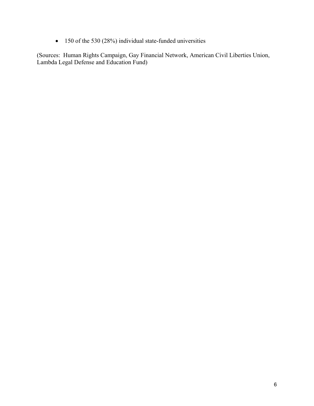• 150 of the 530 (28%) individual state-funded universities

(Sources: Human Rights Campaign, Gay Financial Network, American Civil Liberties Union, Lambda Legal Defense and Education Fund)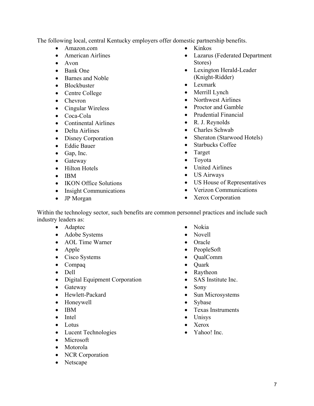The following local, central Kentucky employers offer domestic partnership benefits.

- Amazon.com
- American Airlines
- Avon
- Bank One
- Barnes and Noble
- Blockbuster
- Centre College
- Chevron
- Cingular Wireless
- Coca-Cola
- Continental Airlines
- Delta Airlines
- Disney Corporation
- Eddie Bauer
- Gap, Inc.
- Gateway
- Hilton Hotels
- IBM
- **IKON Office Solutions**
- Insight Communications
- JP Morgan
- Kinkos
- Lazarus (Federated Department Stores)
- Lexington Herald-Leader (Knight-Ridder)
- Lexmark
- Merrill Lynch
- Northwest Airlines
- Proctor and Gamble
- Prudential Financial
- R. J. Reynolds
- Charles Schwab
- Sheraton (Starwood Hotels)
- Starbucks Coffee
- Target
- Toyota
- United Airlines
- US Airways
- US House of Representatives
- Verizon Communications
- Xerox Corporation

Within the technology sector, such benefits are common personnel practices and include such industry leaders as:

- Adaptec
- Adobe Systems
- AOL Time Warner
- Apple
- Cisco Systems
- Compaq
- Dell
- Digital Equipment Corporation
- Gateway
- Hewlett-Packard
- Honeywell
- IBM
- Intel
- Lotus
- Lucent Technologies
- Microsoft
- Motorola
- NCR Corporation
- Netscape
- Nokia
- Novell
- Oracle
- PeopleSoft
- QualComm
- Quark
- Raytheon
- SAS Institute Inc.
- Sony
- Sun Microsystems
- Sybase
- Texas Instruments
- Unisys
- Xerox
- Yahoo! Inc.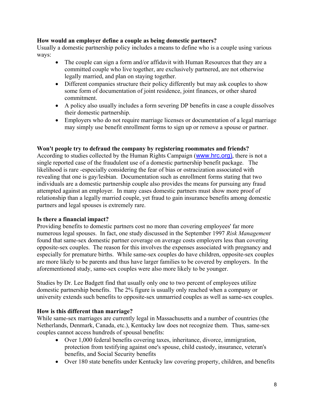### **How would an employer define a couple as being domestic partners?**

Usually a domestic partnership policy includes a means to define who is a couple using various ways:

- The couple can sign a form and/or affidavit with Human Resources that they are a committed couple who live together, are exclusively partnered, are not otherwise legally married, and plan on staying together.
- Different companies structure their policy differently but may ask couples to show some form of documentation of joint residence, joint finances, or other shared commitment.
- A policy also usually includes a form severing DP benefits in case a couple dissolves their domestic partnership.
- Employers who do not require marriage licenses or documentation of a legal marriage may simply use benefit enrollment forms to sign up or remove a spouse or partner.

### **Won't people try to defraud the company by registering roommates and friends?**

According to studies collected by the Human Rights Campaign (www.hrc.org), there is not a single reported case of the fraudulent use of a domestic partnership benefit package. The likelihood is rare -especially considering the fear of bias or ostracization associated with revealing that one is gay/lesbian. Documentation such as enrollment forms stating that two individuals are a domestic partnership couple also provides the means for pursuing any fraud attempted against an employer. In many cases domestic partners must show more proof of relationship than a legally married couple, yet fraud to gain insurance benefits among domestic partners and legal spouses is extremely rare.

### **Is there a financial impact?**

Providing benefits to domestic partners cost no more than covering employees' far more numerous legal spouses. In fact, one study discussed in the September 1997 *Risk Management* found that same-sex domestic partner coverage on average costs employers less than covering opposite-sex couples. The reason for this involves the expenses associated with pregnancy and especially for premature births. While same-sex couples do have children, opposite-sex couples are more likely to be parents and thus have larger families to be covered by employers. In the aforementioned study, same-sex couples were also more likely to be younger.

Studies by Dr. Lee Badgett find that usually only one to two percent of employees utilize domestic partnership benefits. The 2% figure is usually only reached when a company or university extends such benefits to opposite-sex unmarried couples as well as same-sex couples.

### **How is this different than marriage?**

While same-sex marriages are currently legal in Massachusetts and a number of countries (the Netherlands, Denmark, Canada, etc.), Kentucky law does not recognize them. Thus, same-sex couples cannot access hundreds of spousal benefits:

- Over 1,000 federal benefits covering taxes, inheritance, divorce, immigration, protection from testifying against one's spouse, child custody, insurance, veteran's benefits, and Social Security benefits
- Over 180 state benefits under Kentucky law covering property, children, and benefits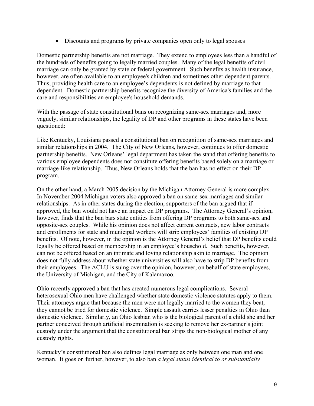• Discounts and programs by private companies open only to legal spouses

Domestic partnership benefits are not marriage. They extend to employees less than a handful of the hundreds of benefits going to legally married couples. Many of the legal benefits of civil marriage can only be granted by state or federal government. Such benefits as health insurance, however, are often available to an employee's children and sometimes other dependent parents. Thus, providing health care to an employee's dependents is not defined by marriage to that dependent. Domestic partnership benefits recognize the diversity of America's families and the care and responsibilities an employee's household demands.

With the passage of state constitutional bans on recognizing same-sex marriages and, more vaguely, similar relationships, the legality of DP and other programs in these states have been questioned:

Like Kentucky, Louisiana passed a constitutional ban on recognition of same-sex marriages and similar relationships in 2004. The City of New Orleans, however, continues to offer domestic partnership benefits. New Orleans' legal department has taken the stand that offering benefits to various employee dependents does not constitute offering benefits based solely on a marriage or marriage-like relationship. Thus, New Orleans holds that the ban has no effect on their DP program.

On the other hand, a March 2005 decision by the Michigan Attorney General is more complex. In November 2004 Michigan voters also approved a ban on same-sex marriages and similar relationships. As in other states during the election, supporters of the ban argued that if approved, the ban would not have an impact on DP programs. The Attorney General's opinion, however, finds that the ban bars state entities from offering DP programs to both same-sex and opposite-sex couples. While his opinion does not affect current contracts, new labor contracts and enrollments for state and municipal workers will strip employees' families of existing DP benefits. Of note, however, in the opinion is the Attorney General's belief that DP benefits could legally be offered based on membership in an employee's household. Such benefits, however, can not be offered based on an intimate and loving relationship akin to marriage. The opinion does not fully address about whether state universities will also have to strip DP benefits from their employees. The ACLU is suing over the opinion, however, on behalf of state employees, the University of Michigan, and the City of Kalamazoo.

Ohio recently approved a ban that has created numerous legal complications. Several heterosexual Ohio men have challenged whether state domestic violence statutes apply to them. Their attorneys argue that because the men were not legally married to the women they beat, they cannot be tried for domestic violence. Simple assault carries lesser penalties in Ohio than domestic violence. Similarly, an Ohio lesbian who is the biological parent of a child she and her partner conceived through artificial insemination is seeking to remove her ex-partner's joint custody under the argument that the constitutional ban strips the non-biological mother of any custody rights.

Kentucky's constitutional ban also defines legal marriage as only between one man and one woman. It goes on further, however, to also ban *a legal status identical to or substantially*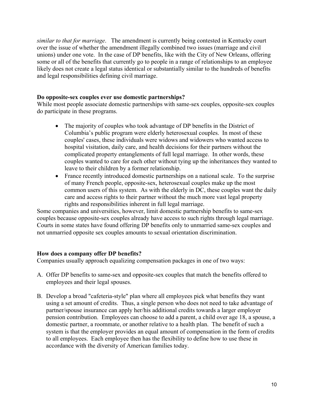*similar to that for marriage*. The amendment is currently being contested in Kentucky court over the issue of whether the amendment illegally combined two issues (marriage and civil unions) under one vote. In the case of DP benefits, like with the City of New Orleans, offering some or all of the benefits that currently go to people in a range of relationships to an employee likely does not create a legal status identical or substantially similar to the hundreds of benefits and legal responsibilities defining civil marriage.

### **Do opposite-sex couples ever use domestic partnerships?**

While most people associate domestic partnerships with same-sex couples, opposite-sex couples do participate in these programs.

- The majority of couples who took advantage of DP benefits in the District of Columbia's public program were elderly heterosexual couples. In most of these couples' cases, these individuals were widows and widowers who wanted access to hospital visitation, daily care, and health decisions for their partners without the complicated property entanglements of full legal marriage. In other words, these couples wanted to care for each other without tying up the inheritances they wanted to leave to their children by a former relationship.
- France recently introduced domestic partnerships on a national scale. To the surprise of many French people, opposite-sex, heterosexual couples make up the most common users of this system. As with the elderly in DC, these couples want the daily care and access rights to their partner without the much more vast legal property rights and responsibilities inherent in full legal marriage.

Some companies and universities, however, limit domestic partnership benefits to same-sex couples because opposite-sex couples already have access to such rights through legal marriage. Courts in some states have found offering DP benefits only to unmarried same-sex couples and not unmarried opposite sex couples amounts to sexual orientation discrimination.

### **How does a company offer DP benefits?**

Companies usually approach equalizing compensation packages in one of two ways:

- A. Offer DP benefits to same-sex and opposite-sex couples that match the benefits offered to employees and their legal spouses.
- B. Develop a broad "cafeteria-style" plan where all employees pick what benefits they want using a set amount of credits. Thus, a single person who does not need to take advantage of partner/spouse insurance can apply her/his additional credits towards a larger employer pension contribution. Employees can choose to add a parent, a child over age 18, a spouse, a domestic partner, a roommate, or another relative to a health plan. The benefit of such a system is that the employer provides an equal amount of compensation in the form of credits to all employees. Each employee then has the flexibility to define how to use these in accordance with the diversity of American families today.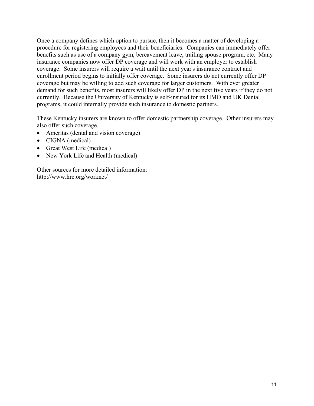Once a company defines which option to pursue, then it becomes a matter of developing a procedure for registering employees and their beneficiaries. Companies can immediately offer benefits such as use of a company gym, bereavement leave, trailing spouse program, etc. Many insurance companies now offer DP coverage and will work with an employer to establish coverage. Some insurers will require a wait until the next year's insurance contract and enrollment period begins to initially offer coverage. Some insurers do not currently offer DP coverage but may be willing to add such coverage for larger customers. With ever greater demand for such benefits, most insurers will likely offer DP in the next five years if they do not currently. Because the University of Kentucky is self-insured for its HMO and UK Dental programs, it could internally provide such insurance to domestic partners.

These Kentucky insurers are known to offer domestic partnership coverage. Other insurers may also offer such coverage.

- Ameritas (dental and vision coverage)
- CIGNA (medical)
- Great West Life (medical)
- New York Life and Health (medical)

Other sources for more detailed information: http://www.hrc.org/worknet/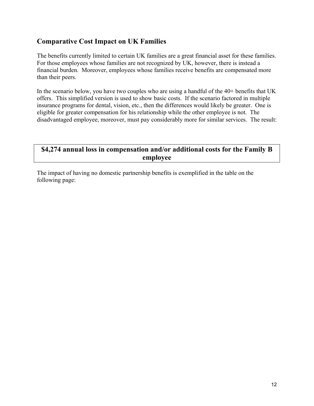# **Comparative Cost Impact on UK Families**

The benefits currently limited to certain UK families are a great financial asset for these families. For those employees whose families are not recognized by UK, however, there is instead a financial burden. Moreover, employees whose families receive benefits are compensated more than their peers.

In the scenario below, you have two couples who are using a handful of the 40+ benefits that UK offers. This simplified version is used to show basic costs. If the scenario factored in multiple insurance programs for dental, vision, etc., then the differences would likely be greater. One is eligible for greater compensation for his relationship while the other employee is not. The disadvantaged employee, moreover, must pay considerably more for similar services. The result:

# **\$4,274 annual loss in compensation and/or additional costs for the Family B employee**

The impact of having no domestic partnership benefits is exemplified in the table on the following page: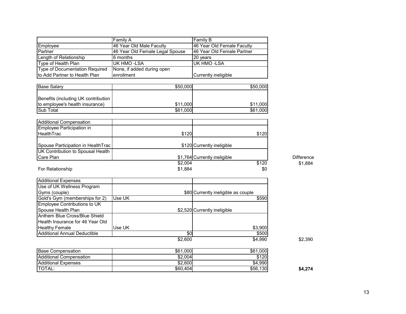|                                     | Family A                        | Family B                     |                   |
|-------------------------------------|---------------------------------|------------------------------|-------------------|
| Employee                            | 46 Year Old Male Faculty        | 46 Year Old Female Faculty   |                   |
| Partner                             | 46 Year Old Female Legal Spouse | 46 Year Old Female Partner   |                   |
| Length of Relationship              | 6 months                        | 20 years                     |                   |
| Type of Health Plan                 | UK HMO -LSA                     | UK HMO -LSA                  |                   |
| Type of Documentation Required      | None, if added during open      |                              |                   |
| to Add Partner to Health Plan       | enrollment                      | Currently ineligible         |                   |
|                                     |                                 |                              |                   |
| <b>Base Salary</b>                  | \$50,000                        | \$50,000                     |                   |
| Benefits (including UK contribution |                                 |                              |                   |
| to employee's health insurance)     | \$11,000                        | \$11,000                     |                   |
| <b>Sub Total</b>                    | \$61,000                        | \$61,000                     |                   |
|                                     |                                 |                              |                   |
| Additional Compensation             |                                 |                              |                   |
| Employee Participation in           |                                 |                              |                   |
| <b>HealthTrac</b>                   | \$120                           | \$120                        |                   |
| Spouse Participation in HealthTrac  |                                 | \$120 Currently ineligible   |                   |
| UK Contribution to Spousal Health   |                                 |                              |                   |
| Care Plan                           |                                 | \$1,764 Currently ineligible | <b>Difference</b> |
|                                     | \$2,004                         | \$120                        | \$1,884           |
| For Relationship                    | \$1,884                         | \$0                          |                   |

| <b>Additional Expenses</b>              |        |         |                                     |
|-----------------------------------------|--------|---------|-------------------------------------|
| Use of UK Wellness Program              |        |         |                                     |
| Gyms (couple)                           |        |         | \$80 Currently ineligible as couple |
| Gold's Gym (memberships for 2)          | Use UK |         | \$590                               |
| Employee Contributions to UK            |        |         |                                     |
| Spouse Health Plan                      |        |         | \$2,520 Currently ineligible        |
| Anthem Blue Cross/Blue Shield           |        |         |                                     |
| <b>Health Insurance for 46 Year Old</b> |        |         |                                     |
| <b>Healthy Female</b>                   | Use UK |         | \$3,900                             |
| Additional Annual Deductible            |        | \$0     | \$500                               |
|                                         |        | \$2,600 | \$4,990                             |

|--|

| <b>Base Compensation</b>       | \$61,000 | \$61,000          |         |
|--------------------------------|----------|-------------------|---------|
| <b>Additional Compensation</b> | \$2,004  | $\overline{$}120$ |         |
| <b>Additional Expenses</b>     | \$2,600  | \$4,990           |         |
| TOTAL:                         | \$60,404 | \$56,130          | \$4,274 |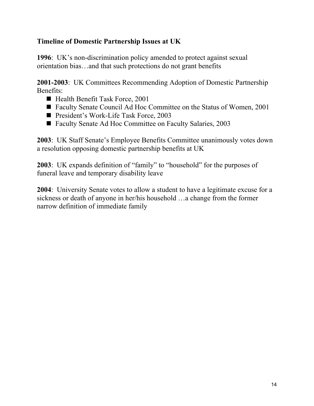# **Timeline of Domestic Partnership Issues at UK**

**1996**: UK's non-discrimination policy amended to protect against sexual orientation bias…and that such protections do not grant benefits

**2001-2003**: UK Committees Recommending Adoption of Domestic Partnership Benefits:

- Health Benefit Task Force, 2001
- Faculty Senate Council Ad Hoc Committee on the Status of Women, 2001
- President's Work-Life Task Force, 2003
- Faculty Senate Ad Hoc Committee on Faculty Salaries, 2003

**2003**: UK Staff Senate's Employee Benefits Committee unanimously votes down a resolution opposing domestic partnership benefits at UK

**2003**: UK expands definition of "family" to "household" for the purposes of funeral leave and temporary disability leave

**2004**: University Senate votes to allow a student to have a legitimate excuse for a sickness or death of anyone in her/his household …a change from the former narrow definition of immediate family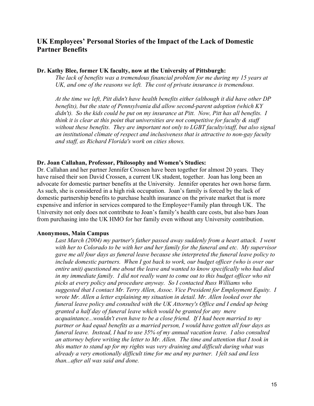# **UK Employees' Personal Stories of the Impact of the Lack of Domestic Partner Benefits**

### **Dr. Kathy Blee, former UK faculty, now at the University of Pittsburgh:**

*The lack of benefits was a tremendous financial problem for me during my 15 years at UK, and one of the reasons we left. The cost of private insurance is tremendous.* 

*At the time we left, Pitt didn't have health benefits either (although it did have other DP benefits), but the state of Pennsylvania did allow second-parent adoption (which KY didn't). So the kids could be put on my insurance at Pitt. Now, Pitt has all benefits. I think it is clear at this point that universities are not competitive for faculty & staff without these benefits. They are important not only to LGBT faculty/staff, but also signal an institutional climate of respect and inclusiveness that is attractive to non-gay faculty and staff, as Richard Florida's work on cities shows.* 

### **Dr. Joan Callahan, Professor, Philosophy and Women's Studies:**

Dr. Callahan and her partner Jennifer Crossen have been together for almost 20 years. They have raised their son David Crossen, a current UK student, together. Joan has long been an advocate for domestic partner benefits at the University. Jennifer operates her own horse farm. As such, she is considered in a high risk occupation. Joan's family is forced by the lack of domestic partnership benefits to purchase health insurance on the private market that is more expensive and inferior in services compared to the Employee+Family plan through UK. The University not only does not contribute to Joan's family's health care costs, but also bars Joan from purchasing into the UK HMO for her family even without any University contribution.

### **Anonymous, Main Campus**

Last March (2004) my partner's father passed away suddenly from a heart attack. I went *with her to Colorado to be with her and her family for the funeral and etc. My supervisor gave me all four days as funeral leave because she interpreted the funeral leave policy to include domestic partners. When I got back to work, our budget officer (who is over our entire unit) questioned me about the leave and wanted to know specifically who had died in my immediate family. I did not really want to come out to this budget officer who nit picks at every policy and procedure anyway. So I contacted Russ Williams who suggested that I contact Mr. Terry Allen, Assoc. Vice President for Employment Equity. I wrote Mr. Allen a letter explaining my situation in detail. Mr. Allen looked over the funeral leave policy and consulted with the UK Attorney's Office and I ended up being granted a half day of funeral leave which would be granted for any mere acquaintance...wouldn't even have to be a close friend. If I had been married to my partner or had equal benefits as a married person, I would have gotten all four days as funeral leave. Instead, I had to use 35% of my annual vacation leave. I also consulted an attorney before writing the letter to Mr. Allen. The time and attention that I took in this matter to stand up for my rights was very draining and difficult during what was already a very emotionally difficult time for me and my partner. I felt sad and less than...after all was said and done.*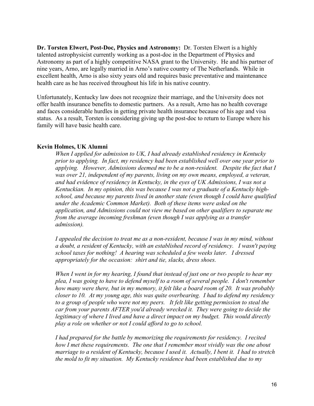**Dr. Torsten Elwert, Post-Doc, Physics and Astronomy:** Dr. Torsten Elwert is a highly talented astrophysicist currently working as a post-doc in the Department of Physics and Astronomy as part of a highly competitive NASA grant to the University. He and his partner of nine years, Arno, are legally married in Arno's native country of The Netherlands. While in excellent health, Arno is also sixty years old and requires basic preventative and maintenance health care as he has received throughout his life in his native country.

Unfortunately, Kentucky law does not recognize their marriage, and the University does not offer health insurance benefits to domestic partners. As a result, Arno has no health coverage and faces considerable hurdles in getting private health insurance because of his age and visa status. As a result, Torsten is considering giving up the post-doc to return to Europe where his family will have basic health care.

### **Kevin Holmes, UK Alumni**

*When I applied for admission to UK, I had already established residency in Kentucky prior to applying. In fact, my residency had been established well over one year prior to applying. However, Admissions deemed me to be a non-resident. Despite the fact that I was over 21, independent of my parents, living on my own means, employed, a veteran, and had evidence of residency in Kentucky, in the eyes of UK Admissions, I was not a Kentuckian. In my opinion, this was because I was not a graduate of a Kentucky highschool, and because my parents lived in another state (even though I could have qualified under the Academic Common Market). Both of these items were asked on the application, and Admissions could not view me based on other qualifiers to separate me from the average incoming freshman (even though I was applying as a transfer admission).* 

*I appealed the decision to treat me as a non-resident, because I was in my mind, without a doubt, a resident of Kentucky, with an established record of residency. I wasn't paying school taxes for nothing! A hearing was scheduled a few weeks later. I dressed appropriately for the occasion: shirt and tie, slacks, dress shoes.* 

*When I went in for my hearing, I found that instead of just one or two people to hear my plea, I was going to have to defend myself to a room of several people. I don't remember how many were there, but in my memory, it felt like a board room of 20. It was probably closer to 10. At my young age, this was quite overbearing. I had to defend my residency to a group of people who were not my peers. It felt like getting permission to steal the car from your parents AFTER you'd already wrecked it. They were going to decide the legitimacy of where I lived and have a direct impact on my budget. This would directly play a role on whether or not I could afford to go to school.* 

*I had prepared for the battle by memorizing the requirements for residency. I recited how I met these requirements. The one that I remember most vividly was the one about marriage to a resident of Kentucky, because I used it. Actually, I bent it. I had to stretch the mold to fit my situation. My Kentucky residence had been established due to my*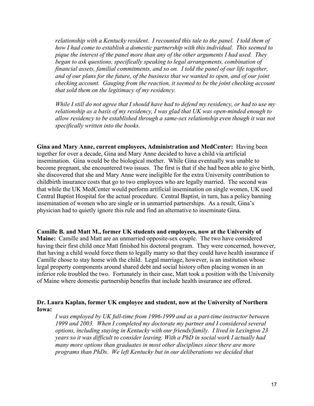*relationship with a Kentucky resident. I recounted this tale to the panel. I told them of how I had come to establish a domestic partnership with this individual. This seemed to pique the interest of the panel more than any of the other arguments I had used. They began to ask questions, specifically speaking to legal arrangements, combination of financial assets, familial commitments, and so on. I told the panel of our life together, and of our plans for the future, of the business that we wanted to open, and of our joint checking account. Gauging from the reaction, it seemed to be the joint checking account that sold them on the legitimacy of my residency.* 

*While I still do not agree that I should have had to defend my residency, or had to use my relationship as a basis of my residency, I was glad that UK was open-minded enough to allow residency to be established through a same-sex relationship even though it was not specifically written into the books.* 

**Gina and Mary Anne, current employees, Administration and MedCenter:** Having been together for over a decade, Gina and Mary Anne decided to have a child via artificial insemination. Gina would be the biological mother. While Gina eventually was unable to become pregnant, she encountered two issues. The first is that if she had been able to give birth, she discovered that she and Mary Anne were ineligible for the extra University contribution to childbirth insurance costs that go to two employees who are legally married. The second was that while the UK MedCenter would perform artificial insemination on single women, UK used Central Baptist Hospital for the actual procedure. Central Baptist, in turn, has a policy banning insemination of women who are single or in unmarried partnerships. As a result, Gina's physician had to quietly ignore this rule and find an alternative to inseminate Gina.

**Camille B. and Matt M., former UK students and employees, now at the University of Maine:** Camille and Matt are an unmarried opposite-sex couple. The two have considered having their first child once Matt finished his doctoral program. They were concerned, however, that having a child would force them to legally marry so that they could have health insurance if Camille chose to stay home with the child. Legal marriage, however, is an institution whose legal property components around shared debt and social history often placing women in an inferior role troubled the two. Fortunately in their case, Matt took a position with the University of Maine where domestic partnership benefits that include health insurance are offered.

### **Dr. Laura Kaplan, former UK employee and student, now at the University of Northern Iowa:**

*I was employed by UK full-time from 1996-1999 and as a part-time instructor between 1999 and 2003. When I completed my doctorate my partner and I considered several options, including staying in Kentucky with our friends/family. I lived in Lexington 23 years so it was difficult to consider leaving. With a PhD in social work I actually had many more options than graduates in most other disciplines since there are more programs than PhDs. We left Kentucky but in our deliberations we decided that*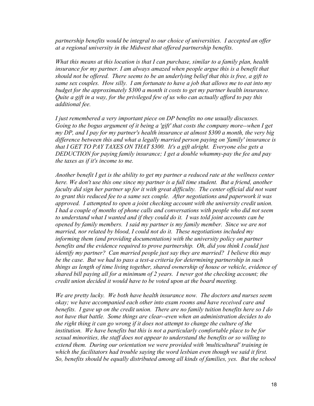*partnership benefits would be integral to our choice of universities. I accepted an offer at a regional university in the Midwest that offered partnership benefits.* 

*What this means at this location is that I can purchase, similar to a family plan, health insurance for my partner. I am always amazed when people argue this is a benefit that should not be offered. There seems to be an underlying belief that this is free, a gift to same sex couples. How silly. I am fortunate to have a job that allows me to eat into my budget for the approximately \$300 a month it costs to get my partner health insurance. Quite a gift in a way, for the privileged few of us who can actually afford to pay this additional fee.* 

*I just remembered a very important piece on DP benefits no one usually discusses. Going to the bogus argument of it being a 'gift' that costs the company more--when I get my DP, and I pay for my partner's health insurance at almost \$300 a month, the very big difference between this and what a legally married person paying on 'family' insurance is that I GET TO PAY TAXES ON THAT \$300. It's a gift alright. Everyone else gets a DEDUCTION for paying family insurance; I get a double whammy-pay the fee and pay the taxes as if it's income to me.* 

*Another benefit I get is the ability to get my partner a reduced rate at the wellness center here. We don't use this one since my partner is a full time student. But a friend, another faculty did sign her partner up for it with great difficulty. The center official did not want to grant this reduced fee to a same sex couple. After negotiations and paperwork it was approved. I attempted to open a joint checking account with the university credit union. I had a couple of months of phone calls and conversations with people who did not seem to understand what I wanted and if they could do it. I was told joint accounts can be opened by family members. I said my partner is my family member. Since we are not married, nor related by blood, I could not do it. These negotiations included my informing them (and providing documentation) with the university policy on partner benefits and the evidence required to prove partnership. Oh, did you think I could just identify my partner? Can married people just say they are married? I believe this may be the case. But we had to pass a test-a criteria for determining partnership in such things as length of time living together, shared ownership of house or vehicle, evidence of shared bill paying all for a minimum of 2 years. I never got the checking account; the credit union decided it would have to be voted upon at the board meeting.* 

*We are pretty lucky. We both have health insurance now. The doctors and nurses seem okay; we have accompanied each other into exam rooms and have received care and benefits. I gave up on the credit union. There are no family tuition benefits here so I do not have that battle. Some things are clear--even when an administration decides to do the right thing it can go wrong if it does not attempt to change the culture of the institution. We have benefits but this is not a particularly comfortable place to be for sexual minorities, the staff does not appear to understand the benefits or so willing to extend them. During our orientation we were provided with 'multicultural' training in which the facilitators had trouble saying the word lesbian even though we said it first. So, benefits should be equally distributed among all kinds of families, yes. But the school*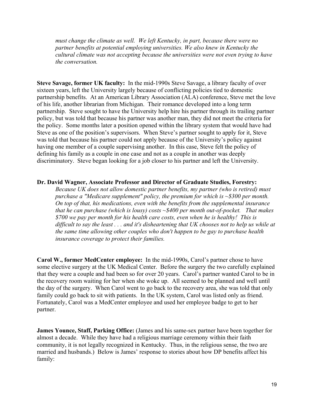*must change the climate as well. We left Kentucky, in part, because there were no partner benefits at potential employing universities. We also knew in Kentucky the cultural climate was not accepting because the universities were not even trying to have the conversation.* 

**Steve Savage, former UK faculty:** In the mid-1990s Steve Savage, a library faculty of over sixteen years, left the University largely because of conflicting policies tied to domestic partnership benefits. At an American Library Association (ALA) conference, Steve met the love of his life, another librarian from Michigan. Their romance developed into a long term partnership. Steve sought to have the University help hire his partner through its trailing partner policy, but was told that because his partner was another man, they did not meet the criteria for the policy. Some months later a position opened within the library system that would have had Steve as one of the position's supervisors. When Steve's partner sought to apply for it, Steve was told that because his partner could not apply because of the University's policy against having one member of a couple supervising another. In this case, Steve felt the policy of defining his family as a couple in one case and not as a couple in another was deeply discriminatory. Steve began looking for a job closer to his partner and left the University.

#### **Dr. David Wagner, Associate Professor and Director of Graduate Studies, Forestry:**

*Because UK does not allow domestic partner benefits, my partner (who is retired) must purchase a "Medicare supplement" policy, the premium for which is ~\$300 per month. On top of that, his medications, even with the benefits from the supplemental insurance that he can purchase (which is lousy) costs ~\$400 per month out-of-pocket. That makes \$700 we pay per month for his health care costs, even when he is healthy! This is difficult to say the least . . . and it's disheartening that UK chooses not to help us while at the same time allowing other couples who don't happen to be gay to purchase health insurance coverage to protect their families.* 

**Carol W., former MedCenter employee:** In the mid-1990s, Carol's partner chose to have some elective surgery at the UK Medical Center. Before the surgery the two carefully explained that they were a couple and had been so for over 20 years. Carol's partner wanted Carol to be in the recovery room waiting for her when she woke up. All seemed to be planned and well until the day of the surgery. When Carol went to go back to the recovery area, she was told that only family could go back to sit with patients. In the UK system, Carol was listed only as friend. Fortunately, Carol was a MedCenter employee and used her employee badge to get to her partner.

**James Younce, Staff, Parking Office:** (James and his same-sex partner have been together for almost a decade. While they have had a religious marriage ceremony within their faith community, it is not legally recognized in Kentucky. Thus, in the religious sense, the two are married and husbands.) Below is James' response to stories about how DP benefits affect his family: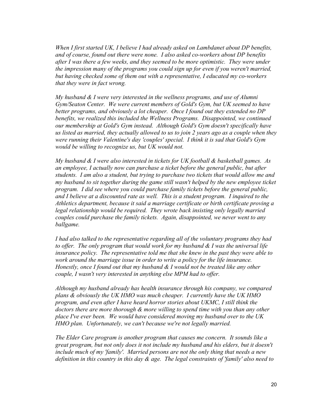*When I first started UK, I believe I had already asked on Lambdanet about DP benefits, and of course, found out there were none. I also asked co-workers about DP benefits after I was there a few weeks, and they seemed to be more optimistic. They were under the impression many of the programs you could sign up for even if you weren't married, but having checked some of them out with a representative, I educated my co-workers that they were in fact wrong.* 

*My husband & I were very interested in the wellness programs, and use of Alumni Gym/Seaton Center. We were current members of Gold's Gym, but UK seemed to have better programs, and obviously a lot cheaper. Once I found out they extended no DP benefits, we realized this included the Wellness Programs. Disappointed, we continued our membership at Gold's Gym instead. Although Gold's Gym doesn't specifically have us listed as married, they actually allowed to us to join 2 years ago as a couple when they were running their Valentine's day 'couples' special. I think it is sad that Gold's Gym would be willing to recognize us, but UK would not.* 

*My husband & I were also interested in tickets for UK football & basketball games. As an employee, I actually now can purchase a ticket before the general public, but after students. I am also a student, but trying to purchase two tickets that would allow me and my husband to sit together during the game still wasn't helped by the new employee ticket program. I did see where you could purchase family tickets before the general public, and I believe at a discounted rate as well. This is a student program. I inquired to the Athletics department, because it said a marriage certificate or birth certificate proving a legal relationship would be required. They wrote back insisting only legally married couples could purchase the family tickets. Again, disappointed, we never went to any ballgame.* 

*I had also talked to the representative regarding all of the voluntary programs they had to offer. The only program that would work for my husband & I was the universal life insurance policy. The representative told me that she knew in the past they were able to work around the marriage issue in order to write a policy for the life insurance. Honestly, once I found out that my husband & I would not be treated like any other couple, I wasn't very interested in anything else MPM had to offer.* 

*Although my husband already has health insurance through his company, we compared plans & obviously the UK HMO was much cheaper. I currently have the UK HMO program, and even after I have heard horror stories about UKMC, I still think the doctors there are more thorough & more willing to spend time with you than any other place I've ever been. We would have considered moving my husband over to the UK HMO plan. Unfortunately, we can't because we're not legally married.* 

*The Elder Care program is another program that causes me concern. It sounds like a great program, but not only does it not include my husband and his elders, but it doesn't include much of my 'family'. Married persons are not the only thing that needs a new definition in this country in this day & age. The legal constraints of 'family' also need to*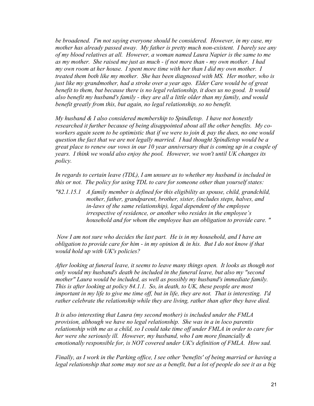*be broadened. I'm not saying everyone should be considered. However, in my case, my mother has already passed away. My father is pretty much non-existent. I barely see any of my blood relatives at all. However, a woman named Laura Napier is the same to me as my mother. She raised me just as much - if not more than - my own mother. I had my own room at her house. I spent more time with her than I did my own mother. I treated them both like my mother. She has been diagnosed with MS. Her mother, who is just like my grandmother, had a stroke over a year ago. Elder Care would be of great benefit to them, but because there is no legal relationship, it does us no good. It would also benefit my husband's family - they are all a little older than my family, and would benefit greatly from this, but again, no legal relationship, so no benefit.* 

*My husband & I also considered membership to Spindletop. I have not honestly researched it further because of being disappointed about all the other benefits. My coworkers again seem to be optimistic that if we were to join & pay the dues, no one would question the fact that we are not legally married. I had thought Spindletop would be a great place to renew our vows in our 10 year anniversary that is coming up in a couple of years. I think we would also enjoy the pool. However, we won't until UK changes its policy.* 

*In regards to certain leave (TDL), I am unsure as to whether my husband is included in this or not. The policy for using TDL to care for someone other than yourself states:* 

*"82.1.15.1 A family member is defined for this eligibility as spouse, child, grandchild, mother, father, grandparent, brother, sister, (includes steps, halves, and in-laws of the same relationship), legal dependent of the employee irrespective of residence, or another who resides in the employee's household and for whom the employee has an obligation to provide care. "*

 *Now I am not sure who decides the last part. He is in my household, and I have an obligation to provide care for him - in my opinion & in his. But I do not know if that would hold up with UK's policies?* 

*After looking at funeral leave, it seems to leave many things open. It looks as though not only would my husband's death be included in the funeral leave, but also my "second mother" Laura would be included, as well as possibly my husband's immediate family. This is after looking at policy 84.1.1. So, in death, to UK, these people are most important in my life to give me time off, but in life, they are not. That is interesting. I'd rather celebrate the relationship while they are living, rather than after they have died.* 

*It is also interesting that Laura (my second mother) is included under the FMLA provision, although we have no legal relationship. She was in a in loco parentis relationship with me as a child, so I could take time off under FMLA in order to care for her were she seriously ill. However, my husband, who I am more financially & emotionally responsible for, is NOT covered under UK's definition of FMLA. How sad.* 

*Finally, as I work in the Parking office, I see other 'benefits' of being married or having a legal relationship that some may not see as a benefit, but a lot of people do see it as a big*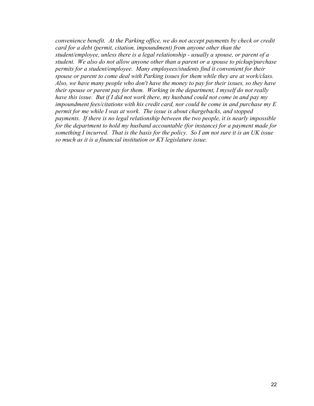*convenience benefit. At the Parking office, we do not accept payments by check or credit card for a debt (permit, citation, impoundment) from anyone other than the student/employee, unless there is a legal relationship - usually a spouse, or parent of a student. We also do not allow anyone other than a parent or a spouse to pickup/purchase permits for a student/employee. Many employees/students find it convenient for their spouse or parent to come deal with Parking issues for them while they are at work/class. Also, we have many people who don't have the money to pay for their issues, so they have their spouse or parent pay for them. Working in the department, I myself do not really have this issue. But if I did not work there, my husband could not come in and pay my impoundment fees/citations with his credit card, nor could he come in and purchase my E permit for me while I was at work. The issue is about chargebacks, and stopped payments. If there is no legal relationship between the two people, it is nearly impossible for the department to hold my husband accountable (for instance) for a payment made for something I incurred. That is the basis for the policy. So I am not sure it is an UK issue so much as it is a financial institution or KY legislature issue.*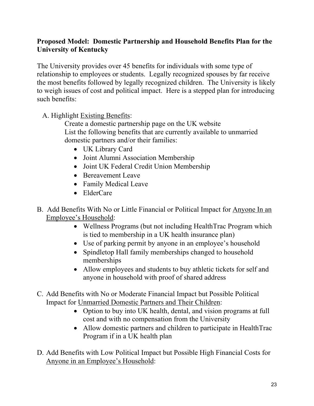# **Proposed Model: Domestic Partnership and Household Benefits Plan for the University of Kentucky**

The University provides over 45 benefits for individuals with some type of relationship to employees or students. Legally recognized spouses by far receive the most benefits followed by legally recognized children. The University is likely to weigh issues of cost and political impact. Here is a stepped plan for introducing such benefits:

A. Highlight Existing Benefits:

Create a domestic partnership page on the UK website List the following benefits that are currently available to unmarried domestic partners and/or their families:

- UK Library Card
- Joint Alumni Association Membership
- Joint UK Federal Credit Union Membership
- Bereavement Leave
- Family Medical Leave
- ElderCare
- B. Add Benefits With No or Little Financial or Political Impact for Anyone In an Employee's Household:
	- Wellness Programs (but not including HealthTrac Program which is tied to membership in a UK health insurance plan)
	- Use of parking permit by anyone in an employee's household
	- Spindletop Hall family memberships changed to household memberships
	- Allow employees and students to buy athletic tickets for self and anyone in household with proof of shared address
- C. Add Benefits with No or Moderate Financial Impact but Possible Political Impact for Unmarried Domestic Partners and Their Children:
	- Option to buy into UK health, dental, and vision programs at full cost and with no compensation from the University
	- Allow domestic partners and children to participate in HealthTrac Program if in a UK health plan
- D. Add Benefits with Low Political Impact but Possible High Financial Costs for Anyone in an Employee's Household: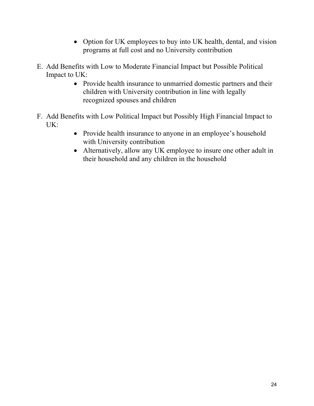- Option for UK employees to buy into UK health, dental, and vision programs at full cost and no University contribution
- E. Add Benefits with Low to Moderate Financial Impact but Possible Political Impact to UK:
	- Provide health insurance to unmarried domestic partners and their children with University contribution in line with legally recognized spouses and children
- F. Add Benefits with Low Political Impact but Possibly High Financial Impact to UK:
	- Provide health insurance to anyone in an employee's household with University contribution
	- Alternatively, allow any UK employee to insure one other adult in their household and any children in the household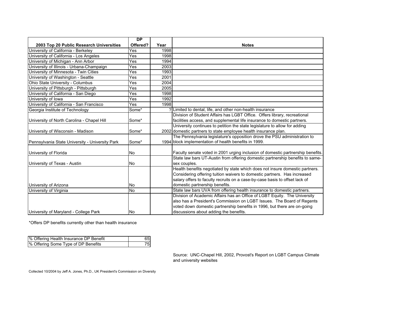|                                                 | <b>DP</b> |      |                                                                                 |
|-------------------------------------------------|-----------|------|---------------------------------------------------------------------------------|
| 2003 Top 20 Public Research Universities        | Offered?  | Year | <b>Notes</b>                                                                    |
| University of California - Berkeley             | Yes       | 1998 |                                                                                 |
| University of California - Los Angeles          | Yes       | 1998 |                                                                                 |
| University of Michigan - Ann Arbor              | Yes       | 1994 |                                                                                 |
| University of Illinois - Urbana-Champaign       | Yes       | 2003 |                                                                                 |
| University of Minnesota - Twin Cities           | Yes       | 1993 |                                                                                 |
| University of Washington - Seattle              | Yes       | 2001 |                                                                                 |
| Ohio State University - Columbus                | Yes       | 2004 |                                                                                 |
| University of Pittsburgh - Pittsburgh           | Yes       | 2005 |                                                                                 |
| University of California - San Diego            | Yes       | 1998 |                                                                                 |
| University of Iowa                              | Yes       | 1992 |                                                                                 |
| University of California - San Francisco        | Yes       | 1998 |                                                                                 |
| Georgia Institute of Technology                 | Some*     |      | ? Limited to dental, life, and other non-health insurance                       |
|                                                 |           |      | Division of Student Affairs has LGBT Office. Offers library, recreational       |
| University of North Carolina - Chapel Hill      | Some*     |      | facilities access, and supplemental life insurance to domestic partners.        |
|                                                 |           |      | University continues to petition the state legislature to allow for adding      |
| University of Wisconsin - Madison               | Some*     |      | 2002 domestic partners to state employee health insurance plan.                 |
|                                                 |           |      | The Pennsylvania legislature's opposition drove the PSU administration to       |
| Pennsylvania State University - University Park | Some*     |      | 1994 block implementation of health benefits in 1999.                           |
|                                                 |           |      |                                                                                 |
| University of Florida                           | No        |      | Faculty senate voted in 2001 urging inclusion of domestic partnership benefits. |
|                                                 |           |      | State law bars UT-Austin from offering domestic partnership benefits to same-   |
| University of Texas - Austin                    | No        |      | sex couples.                                                                    |
|                                                 |           |      | Health benefits negotiated by state which does not insure domestic partners.    |
|                                                 |           |      | Considering offering tuition waivers to domestic partners. Has increased        |
|                                                 |           |      | salary offers to faculty recruits on a case-by-case basis to offset lack of     |
| University of Arizona                           | No        |      | domestic partnership benefits.                                                  |
| University of Virginia                          | <b>No</b> |      | State law bars UVA from offering health insurance to domestic partners.         |
|                                                 |           |      | Division of Academic Affairs has an Office of LGBT Equity. The University       |
|                                                 |           |      | also has a President's Commission on LGBT Issues. The Board of Regents          |
|                                                 |           |      | voted down domestic partnership benefits in 1996, but there are on-going        |
| University of Maryland - College Park           | No        |      | discussions about adding the benefits.                                          |

\*Offers DP benefits currently other than health insurance

| % Offering Health Insurance DP Benefit | 65 |
|----------------------------------------|----|
| % Offering Some Type of DP Benefits    | 75 |

Source: UNC-Chapel Hill, 2002, Provost's Report on LGBT Campus Climate and university websites

Collected 10/2004 by Jeff A. Jones, Ph.D., UK President's Commission on Diversity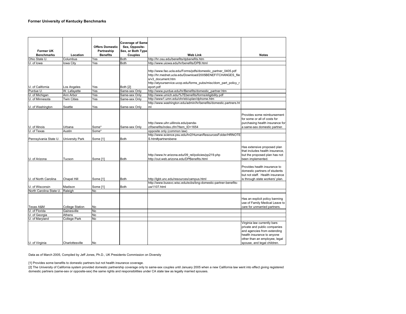| <b>Former UK</b>                        |                        | <b>Offers Domestic</b><br>Partneship | <b>Coverage of Same</b><br>Sex, Opposite-<br>Sex, or Both Type |                                                                                                                                                                                                                                 |                                                                                                                                                                                          |
|-----------------------------------------|------------------------|--------------------------------------|----------------------------------------------------------------|---------------------------------------------------------------------------------------------------------------------------------------------------------------------------------------------------------------------------------|------------------------------------------------------------------------------------------------------------------------------------------------------------------------------------------|
| <b>Benchmarks</b>                       | Location               | <b>Benefits</b>                      | Couples                                                        | <b>Web Link</b>                                                                                                                                                                                                                 | <b>Notes</b>                                                                                                                                                                             |
| Ohio State U.                           | Columbus               | Yes                                  | <b>Both</b>                                                    | http://hr.osu.edu/benefits/dpbenefits.htm                                                                                                                                                                                       |                                                                                                                                                                                          |
| U. of lowa                              | lowa City              | Yes                                  | <b>Both</b>                                                    | http://www.uiowa.edu/hr/benefits/DPB.html                                                                                                                                                                                       |                                                                                                                                                                                          |
| U. of California                        | Los Angeles            | Yes                                  | Both [2]                                                       | http://www.fao.ucla.edu/Forms/pdfs/domestic partner 0405.pdf<br>http://hr.mednet.ucla.edu/Download/2005BENEFITCHANGES file<br>s/v3 document.htm<br>http://atyourservice.ucop.edu/forms pubs/misc/dom part policy r<br>eport.pdf |                                                                                                                                                                                          |
| Purdue U.                               | W. Lafayette           | Yes                                  | Same-sex Only                                                  | http://www.purdue.edu/hr/Benefits/domestic_partner.htm                                                                                                                                                                          |                                                                                                                                                                                          |
| U. of Michigan                          | Ann Arbor              | Yes                                  | Same-sex Only                                                  | http://www.umich.edu/%7Ebenefits/forms/eligibility.pdf                                                                                                                                                                          |                                                                                                                                                                                          |
| U. of Minnesota                         | <b>Twin Cities</b>     | Yes                                  | Same-sex Only                                                  | http://www1.umn.edu/ohr/eb/uplan/dphome.htm                                                                                                                                                                                     |                                                                                                                                                                                          |
|                                         |                        |                                      |                                                                | http://www.washington.edu/admin/hr/benefits/domestic.partners.ht                                                                                                                                                                |                                                                                                                                                                                          |
| U. of Washington                        | Seattle                | Yes                                  | Same-sex Only                                                  | ml                                                                                                                                                                                                                              |                                                                                                                                                                                          |
| U. of Illinois<br>U. of Texas           | Urbana<br>Austin       | Some*<br>Some*                       | Same-sex Only                                                  | http://www.uihr.uillinois.edu/panda-<br>cf/benefits/index.cfm?Item ID=1654<br>opposite only (common law)                                                                                                                        | Provides some reimbursement<br>for some or all of costs for<br>purchasing health insurance for<br>a same-sex domestic partner.                                                           |
|                                         |                        |                                      |                                                                | http://www.science.psu.edu/hr2/HumanResourcesFolder/HRNOTE                                                                                                                                                                      |                                                                                                                                                                                          |
| Pennsylvania State U.                   | University Park        | Some [1]                             | <b>Both</b>                                                    | S.htm#partnersbene                                                                                                                                                                                                              |                                                                                                                                                                                          |
| U. of Arizona                           | Tucson                 | Some [1]                             | <b>Both</b>                                                    | http://www.hr.arizona.edu/09 rel/policies/pp219.php<br>http://out.web.arizona.edu/DPBenefits.html                                                                                                                               | Has extensive proposed plan<br>that includes health insurance,<br>but the proposed plan has not<br>been implemented.                                                                     |
| U. of North Carolina<br>U. of Wisconsin | Chapel Hill<br>Madison | Some [1]<br>Some [1]                 | <b>Both</b><br><b>Both</b>                                     | http://lgbt.unc.edu/resources/campus.html<br>http://www.bussvc.wisc.edu/ecbs/bng-domestic-partner-benefits-<br>uw1107.html                                                                                                      | Provides health insurance to<br>domestic partners of students<br>but not staff. Health insurance<br>is through state workers' plan.                                                      |
| North Carolina State U.                 | Raleigh                | No                                   |                                                                |                                                                                                                                                                                                                                 |                                                                                                                                                                                          |
| Texas A&M                               | <b>College Station</b> | No                                   |                                                                |                                                                                                                                                                                                                                 | Has an explicit policy banning<br>use of Family Medical Leave to<br>care for unmarried partners.                                                                                         |
| U. of Florida                           | Gainesville            | No                                   |                                                                |                                                                                                                                                                                                                                 |                                                                                                                                                                                          |
| U. of Georgia                           | Athens                 | No                                   |                                                                |                                                                                                                                                                                                                                 |                                                                                                                                                                                          |
| U. of Maryland                          | <b>College Park</b>    | No                                   |                                                                |                                                                                                                                                                                                                                 |                                                                                                                                                                                          |
| U. of Virginia                          | Charlottesville        | No                                   |                                                                |                                                                                                                                                                                                                                 | Virginia law currently bars<br>private and public companies<br>and agencies from extending<br>health insurance to anyone<br>other than an employee, legal<br>spouse, and legal children. |

Data as of March 2005, Compiled by Jeff Jones, Ph.D., UK Presidents Commission on Diversity

[1] Provides some benefits to domestic partners but not health insurance coverage.

[2] The University of California system provided domestic partnership coverage only to same-sex couples until January 2005 when a new California law went into effect giving registered domestic partners (same-sex or opposite-sex) the same rights and responsibilities under CA state law as legally married spouses.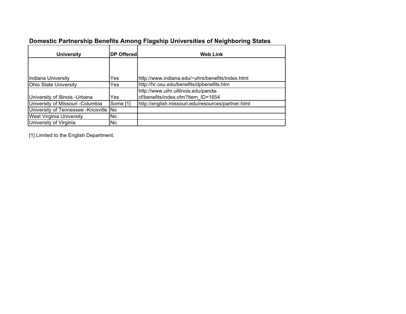| <b>University</b>                      | <b>DP Offered</b> | <b>Web Link</b>                                    |
|----------------------------------------|-------------------|----------------------------------------------------|
|                                        |                   |                                                    |
|                                        |                   |                                                    |
| Indiana University                     | Yes               | http://www.indiana.edu/~uhrs/benefits/index.html   |
| Ohio State University                  | Yes               | http://hr.osu.edu/benefits/dpbenefits.htm          |
|                                        |                   | http://www.uihr.uillinois.edu/panda-               |
| University of Illinois - Urbana        | Yes               | cf/benefits/index.cfm?Item ID=1654                 |
| University of Missouri -Columbia       | Some [1]          | http://english.missouri.edu/resources/partner.html |
| University of Tennessee - Knoxville No |                   |                                                    |
| <b>West Virginia University</b>        | No.               |                                                    |
| University of Virginia                 | lNo.              |                                                    |

# **Domestic Partnership Benefits Among Flagship Universities of Neighboring States**

[1] Limited to the English Department.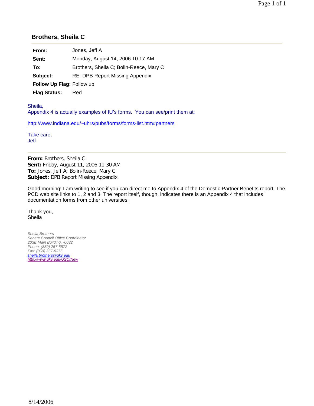## **Brothers, Sheila C**

**Sent:** Monday, August 14, 2006 10:17 AM

**To:** Brothers, Sheila C; Bolin-Reece, Mary C

**Subject:** RE: DPB Report Missing Appendix

**Follow Up Flag:** Follow up

**Flag Status:** Red

Sheila, Appendix 4 is actually examples of IU's forms. You can see/print them at:

http://www.indiana.edu/~uhrs/pubs/forms/forms-list.htm#partners

Take care, Jeff

**From:** Brothers, Sheila C **Sent:** Friday, August 11, 2006 11:30 AM **To:** Jones, Jeff A; Bolin-Reece, Mary C **Subject:** DPB Report Missing Appendix

Good morning! I am writing to see if you can direct me to Appendix 4 of the Domestic Partner Benefits report. The PCD web site links to 1, 2 and 3. The report itself, though, indicates there is an Appendix 4 that includes documentation forms from other universities.

Thank you, Sheila

*Sheila Brothers Senate Council Office Coordinator 203E Main Building, -0032 Phone: (859) 257-5872 Fax: (859) 257-8375 sheila.brothers@uky.edu http://www.uky.edu/USC/New*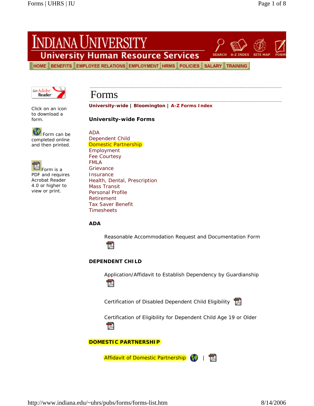# INDIANA UNIVERSITY

**University Human Resource Services** 

HOME BENEFITS EMPLOYEE RELATIONS EMPLOYMENT HRMS POLICIES SALARY TRAINING



# Forms

Click on an icon to download a form.

Form can be completed online and then printed.



PDF and requires Acrobat Reader 4.0 or higher to view or print.

**University-wide | Bloomington | A-Z Forms Index**

**University-wide Forms** 

ADA Dependent Child Domestic Partnership Employment Fee Courtesy FMLA **Grievance Insurance** Health, Dental, Prescription Mass Transit Personal Profile Retirement Tax Saver Benefit Timesheets

**ADA**

Reasonable Accommodation Request and Documentation Form



## **DEPENDENT CHILD**

Application/Affidavit to Establish Dependency by Guardianship



Certification of Disabled Dependent Child Eligibility



Certification of Eligibility for Dependent Child Age 19 or Older



**DOMESTIC PARTNERSHIP**

Affidavit of Domestic Partnership (1) | T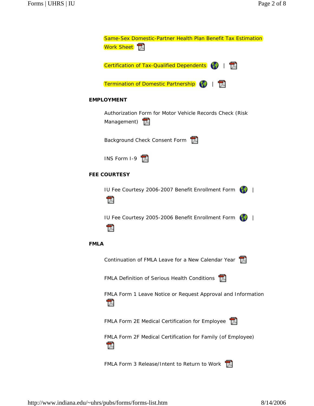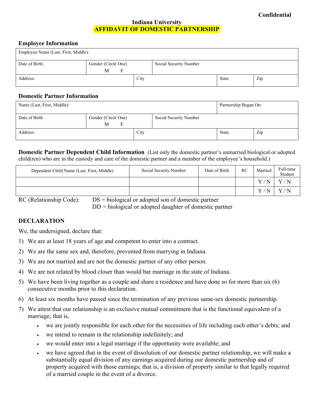### **Indiana University AFFIDAVIT OF DOMESTIC PARTNERSHIP**

### **Employee Information**

| Employee Name (Last, First, Middle): |                          |  |      |                        |       |     |
|--------------------------------------|--------------------------|--|------|------------------------|-------|-----|
| Date of Birth                        | Gender (Circle One)<br>M |  |      | Social Security Number |       |     |
| Address:                             |                          |  | City |                        | State | Zip |

### **Domestic Partner Information**

| Name (Last, First, Middle): |                               |      |                        | Partnership Began On: |     |
|-----------------------------|-------------------------------|------|------------------------|-----------------------|-----|
| Date of Birth               | Gender (Circle One)<br>M<br>F |      | Social Security Number |                       |     |
| Address:                    |                               | City |                        | State                 | Zip |

### **Domestic Partner Dependent Child Information** (List only the domestic partner's unmarried biological or adopted child(ren) who are in the custody and care of the domestic partner and a member of the employee's household.)

| Dependent Child Name (Last, First, Middle) | Social Security Number | Date of Birth | RC | Married           | Full-time<br>Student |
|--------------------------------------------|------------------------|---------------|----|-------------------|----------------------|
|                                            |                        |               |    | $\mathbf{V}$<br>N | Y/N                  |
|                                            |                        |               |    | $\mathbf{V}$<br>N | Y/N                  |

RC (Relationship Code): DS = biological or adopted son of domestic partner

DD = biological or adopted daughter of domestic partner

## **DECLARATION**

We, the undersigned, declare that:

- 1) We are at least 18 years of age and competent to enter into a contract.
- 2) We are the same sex and, therefore, prevented from marrying in Indiana.
- 3) We are not married and are not the domestic partner of any other person.
- 4) We are not related by blood closer than would bar marriage in the state of Indiana.
- 5) We have been living together as a couple and share a residence and have done so for more than six (6) consecutive months prior to this declaration.
- 6) At least six months have passed since the termination of any previous same-sex domestic partnership.
- 7) We attest that our relationship is an exclusive mutual commitment that is the functional equivalent of a marriage; that is,
	- we are jointly responsible for each other for the necessities of life including each other's debts; and
	- we intend to remain in the relationship indefinitely; and
	- we would enter into a legal marriage if the opportunity were available; and
	- we have agreed that in the event of dissolution of our domestic partner relationship, we will make a substantially equal division of any earnings acquired during our domestic partnership and of property acquired with those earnings; that is, a division of property similar to that legally required of a married couple in the event of a divorce.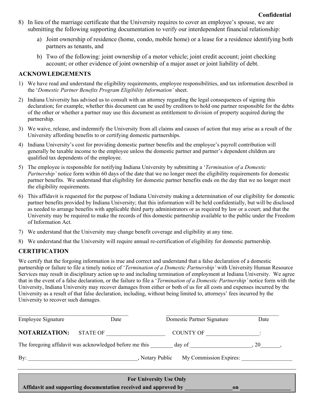- 8) In lieu of the marriage certificate that the University requires to cover an employee's spouse, we are submitting the following supporting documentation to verify our interdependent financial relationship:
	- a) Joint ownership of residence (home, condo, mobile home) or a lease for a residence identifying both partners as tenants, and
	- b) Two of the following: joint ownership of a motor vehicle; joint credit account; joint checking account; or other evidence of joint ownership of a major asset or joint liability of debt.

## **ACKNOWLEDGEMENTS**

- 1) We have read and understand the eligibility requirements, employee responsibilities, and tax information described in the '*Domestic Partner Benefits Program Eligibility Information'* sheet.
- 2) Indiana University has advised us to consult with an attorney regarding the legal consequences of signing this declaration; for example, whether this document can be used by creditors to hold one partner responsible for the debts of the other or whether a partner may use this document as entitlement to division of property acquired during the partnership.
- 3) We waive, release, and indemnify the University from all claims and causes of action that may arise as a result of the University affording benefits to or certifying domestic partnerships.
- 4) Indiana University's cost for providing domestic partner benefits and the employee's payroll contribution will generally be taxable income to the employee unless the domestic partner and partner's dependent children are qualified tax dependents of the employee.
- 5) The employee is responsible for notifying Indiana University by submitting a '*Termination of a Domestic Partnership'* notice form within 60 days of the date that we no longer meet the eligibility requirements for domestic partner benefits. We understand that eligibility for domestic partner benefits ends on the day that we no longer meet the eligibility requirements.
- 6) This affidavit is requested for the purpose of Indiana University making a determination of our eligibility for domestic partner benefits provided by Indiana University; that this information will be held confidentially, but will be disclosed as needed to arrange benefits with applicable third party administrators or as required by law or a court; and that the University may be required to make the records of this domestic partnership available to the public under the Freedom of Information Act.
- 7) We understand that the University may change benefit coverage and eligibility at any time.
- 8) We understand that the University will require annual re-certification of eligibility for domestic partnership.

## **CERTIFICATION**

We certify that the forgoing information is true and correct and understand that a false declaration of a domestic partnership or failure to file a timely notice of '*Termination of a Domestic Partnership'* with University Human Resource Services may result in disciplinary action up to and including termination of employment at Indiana University. We agree that in the event of a false declaration, or the failure to file a '*Termination of a Domestic Partnership'* notice form with the University, Indiana University may recover damages from either or both of us for all costs and expenses incurred by the University as a result of that false declaration, including, without being limited to, attorneys' fees incurred by the University to recover such damages.

| <b>Employee Signature</b> | Date                                                    | Domestic Partner Signature                                                                                                                                                                                                     | Date |
|---------------------------|---------------------------------------------------------|--------------------------------------------------------------------------------------------------------------------------------------------------------------------------------------------------------------------------------|------|
| <b>NOTARIZATION:</b>      | STATE OF                                                | COUNTY OF THE RESIDENCE OF THE RESIDENCE OF THE RESIDENCE OF THE RESIDENCE OF THE RESIDENCE OF THE RESIDENCE OF THE RESIDENCE OF THE RESIDENCE OF THE RESIDENCE OF THE RESIDENCE OF THE RESIDENCE OF THE RESIDENCE OF THE RESI |      |
|                           | The foregoing affidavit was acknowledged before me this | day of $\qquad \qquad .20 \qquad .$                                                                                                                                                                                            |      |
|                           | By: Notary Public                                       | My Commission Expires:                                                                                                                                                                                                         |      |
|                           |                                                         | <b>For University Use Only</b>                                                                                                                                                                                                 |      |

**Affidavit and supporting documentation received and approved by \_\_\_\_\_\_\_\_\_\_\_\_\_\_\_\_\_on \_\_\_\_\_\_\_\_\_\_\_\_\_\_\_\_\_\_**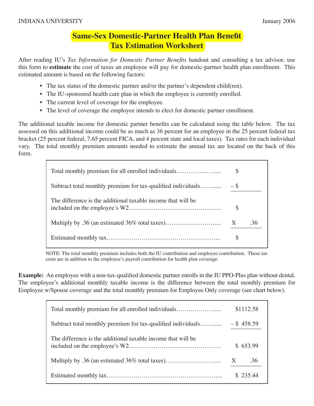# **Same-Sex Domestic-Partner Health Plan Benefit Tax Estimation Worksheet**

After reading IU's *Tax Information for Domestic Partner Benefits* handout and consulting a tax advisor, use this form to **estimate** the cost of taxes an employee will pay for domestic-partner health plan enrollment. This estimated amount is based on the following factors:

- The tax status of the domestic partner and/or the partner's dependent child(ren).
- The IU-sponsored health care plan in which the employee is currently enrolled.
- The current level of coverage for the employee.
- The level of coverage the employee intends to elect for domestic partner enrollment.

The additional taxable income for domestic partner benefits can be calculated using the table below. The tax assessed on this additional income could be as much as 36 percent for an employee in the 25 percent federal tax bracket (25 percent federal, 7.65 percent FICA, and 4 percent state and local taxes). Tax rates for each individual vary. The total monthly premium amounts needed to estimate the annual tax are located on the back of this form.

| Total monthly premium for all enrolled individuals           | S                 |     |
|--------------------------------------------------------------|-------------------|-----|
| Subtract total monthly premium for tax-qualified individuals | $-$ \$            |     |
| The difference is the additional taxable income that will be | $\mathbb{S}$      |     |
|                                                              | $X_{\mathcal{I}}$ | -36 |
|                                                              | \$                |     |

NOTE: The total monthly premium includes both the IU contribution and employee contribution. These tax costs are in addition to the employee's payroll contribution for health plan coverage.

**Example:** An employee with a non-tax-qualified domestic partner enrolls in the IU PPO-Plus plan without dental. The employee's additional monthly taxable income is the difference between the total monthly premium for Employee w/Spouse coverage and the total monthly premium for Employee Only coverage (see chart below).

| Total monthly premium for all enrolled individuals           | \$1112.58                        |
|--------------------------------------------------------------|----------------------------------|
| Subtract total monthly premium for tax-qualified individuals | $-$ \$458.59                     |
| The difference is the additional taxable income that will be | \$653.99                         |
|                                                              | $\boldsymbol{\mathrm{X}}$<br>.36 |
|                                                              | \$ 235.44                        |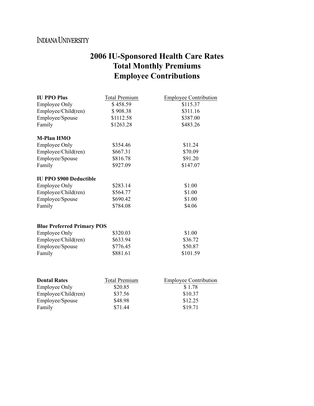# INDIANA UNIVERSITY

# **2006 IU-Sponsored Health Care Rates Total Monthly Premiums Employee Contributions**

| <b>IU PPO Plus</b>                | <b>Total Premium</b> | <b>Employee Contribution</b> |
|-----------------------------------|----------------------|------------------------------|
| <b>Employee Only</b>              | \$458.59             | \$115.37                     |
| Employee/Child(ren)               | \$908.38             | \$311.16                     |
| Employee/Spouse                   | \$1112.58            | \$387.00                     |
| Family                            | \$1263.28            | \$483.26                     |
| <b>M-Plan HMO</b>                 |                      |                              |
| <b>Employee Only</b>              | \$354.46             | \$11.24                      |
| Employee/Child(ren)               | \$667.31             | \$70.09                      |
| Employee/Spouse                   | \$816.78             | \$91.20                      |
| Family                            | \$927.09             | \$147.07                     |
| <b>IU PPO \$900 Deductible</b>    |                      |                              |
| <b>Employee Only</b>              | \$283.14             | \$1.00                       |
| Employee/Child(ren)               | \$564.77             | \$1.00                       |
| Employee/Spouse                   | \$690.42             | \$1.00                       |
| Family                            | \$784.08             | \$4.06                       |
|                                   |                      |                              |
| <b>Blue Preferred Primary POS</b> |                      |                              |
| <b>Employee Only</b>              | \$320.03             | \$1.00                       |
| Employee/Child(ren)               | \$633.94             | \$36.72                      |
| Employee/Spouse                   | \$776.45             | \$50.87                      |
| Family                            | \$881.61             | \$101.59                     |
| <b>Dental Rates</b>               | <b>Total Premium</b> | <b>Employee Contribution</b> |
| <b>Employee Only</b>              | \$20.85              | \$1.78                       |

Employee/Child(ren) \$37.56 \$10.37 Employee/Spouse \$48.98 \$12.25<br>Family \$71.44 \$19.71

\$71.44 \$19.71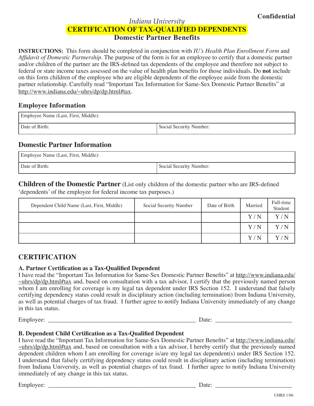# *Indiana University* **CERTIFICATION OF TAX-QUALIFIED DEPENDENTS Domestic Partner Benefits**

**INSTRUCTIONS:** This form should be completed in conjunction with *IU's Health Plan Enrollment Form* and *Affidavit of Domestic Partnership*. The purpose of the form is for an employee to certify that a domestic partner and/or children of the partner are the IRS-defined tax dependents of the employee and therefore not subject to federal or state income taxes assessed on the value of health plan benefits for those individuals. Do **not** include on this form children of the employee who are eligible dependents of the employee aside from the domestic partner relationship. Carefully read "Important Tax Information for Same-Sex Domestic Partner Benefits" at [http://www.indiana.edu/~uhrs/dp/dp.html#tax.](http://www.indiana.edu/~uhrs/dp/dp.html#tax)

## **Employee Information**

| Employee Name (Last, First, Middle): |                         |  |  |  |
|--------------------------------------|-------------------------|--|--|--|
| Date of Birth:                       | Social Security Number: |  |  |  |

# **Domestic Partner Information**

| Employee Name (Last, First, Middle): |                         |  |  |  |
|--------------------------------------|-------------------------|--|--|--|
| Date of Birth:                       | Social Security Number: |  |  |  |

**Children of the Domestic Partner** (List only children of the domestic partner who are IRS-defined ʻdependents' of the employee for federal income tax purposes.)

| Dependent Child Name (Last, First, Middle) | Social Security Number | Date of Birth | Married | Full-time<br>Student |
|--------------------------------------------|------------------------|---------------|---------|----------------------|
|                                            |                        |               | Y/N     | Y/N                  |
|                                            |                        |               | Y/N     | Y/N                  |
|                                            |                        |               | Y/N     | Y/N                  |

# **CERTIFICATION**

## **A. Partner Certification as a Tax-Qualified Dependent**

I have read the "Important Tax Information for Same-Sex Domestic Partner Benefits" at <http://www.indiana.edu/> ~uhrs/dp/dp.html#tax and, based on consultation with a tax advisor, I certify that the previously named person whom I am enrolling for coverage is my legal tax dependent under IRS Section 152. I understand that falsely certifying dependency status could result in disciplinary action (including termination) from Indiana University, as well as potential charges of tax fraud. I further agree to notify Indiana University immediately of any change in this tax status.

Employee: \_\_\_\_\_\_\_\_\_\_\_\_\_\_\_\_\_\_\_\_\_\_\_\_\_\_\_\_\_\_\_\_\_\_\_\_\_\_\_\_\_\_\_\_\_\_\_\_ Date: \_\_\_\_\_\_\_\_\_\_\_\_\_\_\_\_\_\_\_\_\_\_\_\_\_

## **B. Dependent Child Certification as a Tax-Qualified Dependent**

I have read the "Important Tax Information for Same-Sex Domestic Partner Benefits" at <http://www.indiana.edu/>  $\sim$ uhrs/dp/dp.html#tax and, based on consultation with a tax advisor, I hereby certify that the previously named dependent children whom I am enrolling for coverage is/are my legal tax dependent(s) under IRS Section 152. I understand that falsely certifying dependency status could result in disciplinary action (including termination) from Indiana University, as well as potential charges of tax fraud. I further agree to notify Indiana University immediately of any change in this tax status.

Employee: \_\_\_\_\_\_\_\_\_\_\_\_\_\_\_\_\_\_\_\_\_\_\_\_\_\_\_\_\_\_\_\_\_\_\_\_\_\_\_\_\_\_\_\_\_\_\_\_ Date: \_\_\_\_\_\_\_\_\_\_\_\_\_\_\_\_\_\_\_\_\_\_\_\_\_